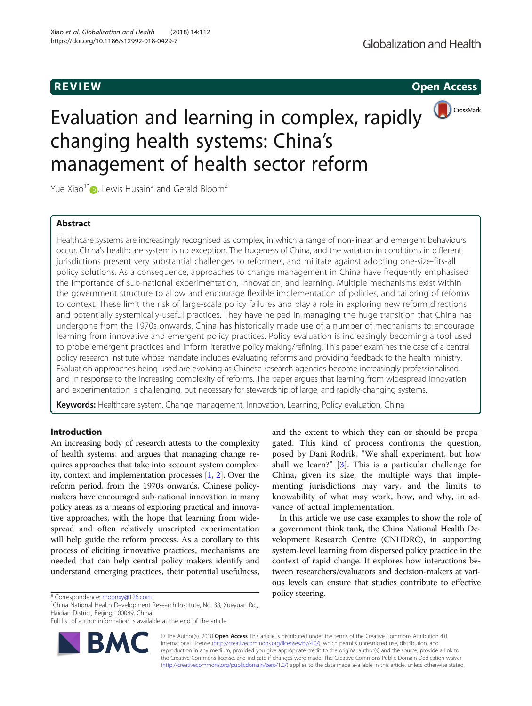**REVIEW REVIEW CONSTRUCTER CONSTRUCTION** 



# Evaluation and learning in complex, rapidly changing health systems: China's management of health sector reform

Yue Xiao<sup>1[\\*](http://orcid.org/0000-0001-5158-3267)</sup>  $\bullet$ , Lewis Husain<sup>2</sup> and Gerald Bloom<sup>2</sup>

# Abstract

Healthcare systems are increasingly recognised as complex, in which a range of non-linear and emergent behaviours occur. China's healthcare system is no exception. The hugeness of China, and the variation in conditions in different jurisdictions present very substantial challenges to reformers, and militate against adopting one-size-fits-all policy solutions. As a consequence, approaches to change management in China have frequently emphasised the importance of sub-national experimentation, innovation, and learning. Multiple mechanisms exist within the government structure to allow and encourage flexible implementation of policies, and tailoring of reforms to context. These limit the risk of large-scale policy failures and play a role in exploring new reform directions and potentially systemically-useful practices. They have helped in managing the huge transition that China has undergone from the 1970s onwards. China has historically made use of a number of mechanisms to encourage learning from innovative and emergent policy practices. Policy evaluation is increasingly becoming a tool used to probe emergent practices and inform iterative policy making/refining. This paper examines the case of a central policy research institute whose mandate includes evaluating reforms and providing feedback to the health ministry. Evaluation approaches being used are evolving as Chinese research agencies become increasingly professionalised, and in response to the increasing complexity of reforms. The paper argues that learning from widespread innovation and experimentation is challenging, but necessary for stewardship of large, and rapidly-changing systems.

Keywords: Healthcare system, Change management, Innovation, Learning, Policy evaluation, China

# Introduction

An increasing body of research attests to the complexity of health systems, and argues that managing change requires approaches that take into account system complexity, context and implementation processes [\[1](#page-9-0), [2\]](#page-9-0). Over the reform period, from the 1970s onwards, Chinese policymakers have encouraged sub-national innovation in many policy areas as a means of exploring practical and innovative approaches, with the hope that learning from widespread and often relatively unscripted experimentation will help guide the reform process. As a corollary to this process of eliciting innovative practices, mechanisms are needed that can help central policy makers identify and understand emerging practices, their potential usefulness,

\* Correspondence: [moonxy@126.com](mailto:moonxy@126.com)<br><sup>1</sup>China National Health Development Research Institute, No. 38, Xueyuan Rd., Haidian District, Beijing 100089, China

Full list of author information is available at the end of the article



and the extent to which they can or should be propagated. This kind of process confronts the question, posed by Dani Rodrik, "We shall experiment, but how shall we learn?" [\[3](#page-9-0)]. This is a particular challenge for China, given its size, the multiple ways that implementing jurisdictions may vary, and the limits to knowability of what may work, how, and why, in advance of actual implementation.

In this article we use case examples to show the role of a government think tank, the China National Health Development Research Centre (CNHDRC), in supporting system-level learning from dispersed policy practice in the context of rapid change. It explores how interactions between researchers/evaluators and decision-makers at various levels can ensure that studies contribute to effective

© The Author(s). 2018 Open Access This article is distributed under the terms of the Creative Commons Attribution 4.0 International License [\(http://creativecommons.org/licenses/by/4.0/](http://creativecommons.org/licenses/by/4.0/)), which permits unrestricted use, distribution, and reproduction in any medium, provided you give appropriate credit to the original author(s) and the source, provide a link to the Creative Commons license, and indicate if changes were made. The Creative Commons Public Domain Dedication waiver [\(http://creativecommons.org/publicdomain/zero/1.0/](http://creativecommons.org/publicdomain/zero/1.0/)) applies to the data made available in this article, unless otherwise stated.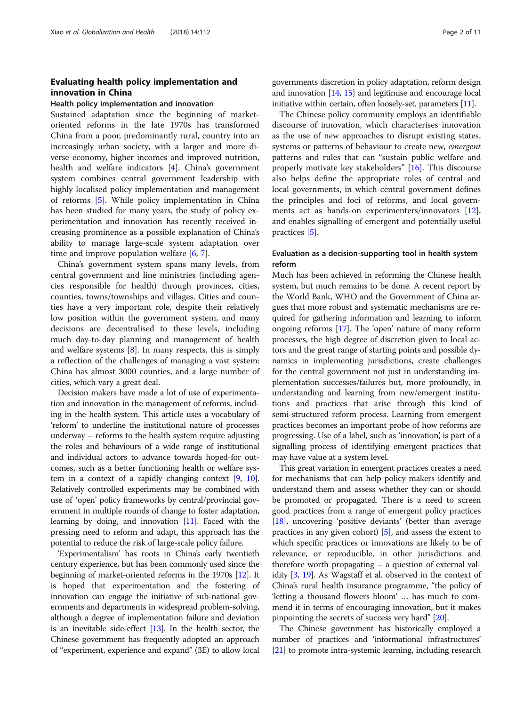# Evaluating health policy implementation and innovation in China

# Health policy implementation and innovation

Sustained adaptation since the beginning of marketoriented reforms in the late 1970s has transformed China from a poor, predominantly rural, country into an increasingly urban society, with a larger and more diverse economy, higher incomes and improved nutrition, health and welfare indicators [\[4](#page-9-0)]. China's government system combines central government leadership with highly localised policy implementation and management of reforms [\[5](#page-9-0)]. While policy implementation in China has been studied for many years, the study of policy experimentation and innovation has recently received increasing prominence as a possible explanation of China's ability to manage large-scale system adaptation over time and improve population welfare [[6,](#page-9-0) [7\]](#page-9-0).

China's government system spans many levels, from central government and line ministries (including agencies responsible for health) through provinces, cities, counties, towns/townships and villages. Cities and counties have a very important role, despite their relatively low position within the government system, and many decisions are decentralised to these levels, including much day-to-day planning and management of health and welfare systems [[8\]](#page-9-0). In many respects, this is simply a reflection of the challenges of managing a vast system: China has almost 3000 counties, and a large number of cities, which vary a great deal.

Decision makers have made a lot of use of experimentation and innovation in the management of reforms, including in the health system. This article uses a vocabulary of 'reform' to underline the institutional nature of processes underway – reforms to the health system require adjusting the roles and behaviours of a wide range of institutional and individual actors to advance towards hoped-for outcomes, such as a better functioning health or welfare system in a context of a rapidly changing context [\[9](#page-9-0), [10](#page-9-0)]. Relatively controlled experiments may be combined with use of 'open' policy frameworks by central/provincial government in multiple rounds of change to foster adaptation, learning by doing, and innovation [\[11\]](#page-9-0). Faced with the pressing need to reform and adapt, this approach has the potential to reduce the risk of large-scale policy failure.

'Experimentalism' has roots in China's early twentieth century experience, but has been commonly used since the beginning of market-oriented reforms in the 1970s [\[12\]](#page-9-0). It is hoped that experimentation and the fostering of innovation can engage the initiative of sub-national governments and departments in widespread problem-solving, although a degree of implementation failure and deviation is an inevitable side-effect [\[13](#page-9-0)]. In the health sector, the Chinese government has frequently adopted an approach of "experiment, experience and expand" (3E) to allow local governments discretion in policy adaptation, reform design and innovation [[14](#page-9-0), [15\]](#page-9-0) and legitimise and encourage local initiative within certain, often loosely-set, parameters [[11](#page-9-0)].

The Chinese policy community employs an identifiable discourse of innovation, which characterises innovation as the use of new approaches to disrupt existing states, systems or patterns of behaviour to create new, emergent patterns and rules that can "sustain public welfare and properly motivate key stakeholders" [[16\]](#page-9-0). This discourse also helps define the appropriate roles of central and local governments, in which central government defines the principles and foci of reforms, and local govern-ments act as hands-on experimenters/innovators [\[12](#page-9-0)], and enables signalling of emergent and potentially useful practices [[5\]](#page-9-0).

# Evaluation as a decision-supporting tool in health system reform

Much has been achieved in reforming the Chinese health system, but much remains to be done. A recent report by the World Bank, WHO and the Government of China argues that more robust and systematic mechanisms are required for gathering information and learning to inform ongoing reforms [[17](#page-9-0)]. The 'open' nature of many reform processes, the high degree of discretion given to local actors and the great range of starting points and possible dynamics in implementing jurisdictions, create challenges for the central government not just in understanding implementation successes/failures but, more profoundly, in understanding and learning from new/emergent institutions and practices that arise through this kind of semi-structured reform process. Learning from emergent practices becomes an important probe of how reforms are progressing. Use of a label, such as 'innovation', is part of a signalling process of identifying emergent practices that may have value at a system level.

This great variation in emergent practices creates a need for mechanisms that can help policy makers identify and understand them and assess whether they can or should be promoted or propagated. There is a need to screen good practices from a range of emergent policy practices [[18](#page-9-0)], uncovering 'positive deviants' (better than average practices in any given cohort) [\[5\]](#page-9-0), and assess the extent to which specific practices or innovations are likely to be of relevance, or reproducible, in other jurisdictions and therefore worth propagating – a question of external validity [\[3](#page-9-0), [19](#page-9-0)]. As Wagstaff et al. observed in the context of China's rural health insurance programme, "the policy of 'letting a thousand flowers bloom' … has much to commend it in terms of encouraging innovation, but it makes pinpointing the secrets of success very hard" [[20](#page-9-0)].

The Chinese government has historically employed a number of practices and 'informational infrastructures' [[21](#page-9-0)] to promote intra-systemic learning, including research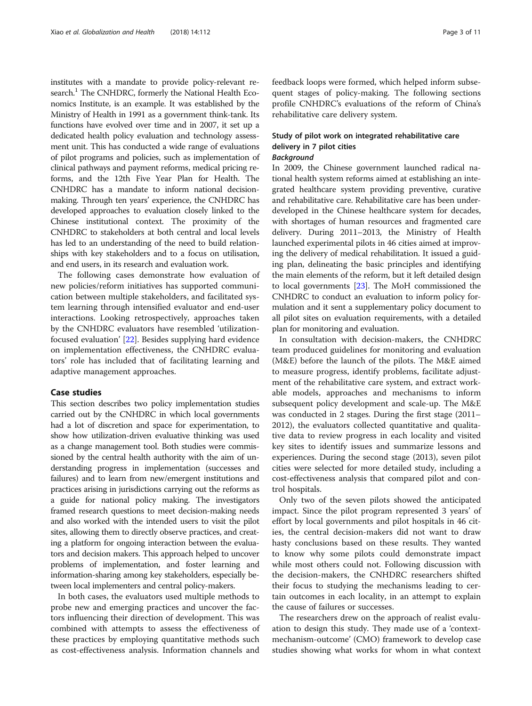institutes with a mandate to provide policy-relevant research.<sup>1</sup> The CNHDRC, formerly the National Health Economics Institute, is an example. It was established by the Ministry of Health in 1991 as a government think-tank. Its functions have evolved over time and in 2007, it set up a dedicated health policy evaluation and technology assessment unit. This has conducted a wide range of evaluations of pilot programs and policies, such as implementation of clinical pathways and payment reforms, medical pricing reforms, and the 12th Five Year Plan for Health. The CNHDRC has a mandate to inform national decisionmaking. Through ten years' experience, the CNHDRC has developed approaches to evaluation closely linked to the Chinese institutional context. The proximity of the CNHDRC to stakeholders at both central and local levels has led to an understanding of the need to build relationships with key stakeholders and to a focus on utilisation, and end users, in its research and evaluation work.

The following cases demonstrate how evaluation of new policies/reform initiatives has supported communication between multiple stakeholders, and facilitated system learning through intensified evaluator and end-user interactions. Looking retrospectively, approaches taken by the CNHDRC evaluators have resembled 'utilizationfocused evaluation' [[22](#page-10-0)]. Besides supplying hard evidence on implementation effectiveness, the CNHDRC evaluators' role has included that of facilitating learning and adaptive management approaches.

#### Case studies

This section describes two policy implementation studies carried out by the CNHDRC in which local governments had a lot of discretion and space for experimentation, to show how utilization-driven evaluative thinking was used as a change management tool. Both studies were commissioned by the central health authority with the aim of understanding progress in implementation (successes and failures) and to learn from new/emergent institutions and practices arising in jurisdictions carrying out the reforms as a guide for national policy making. The investigators framed research questions to meet decision-making needs and also worked with the intended users to visit the pilot sites, allowing them to directly observe practices, and creating a platform for ongoing interaction between the evaluators and decision makers. This approach helped to uncover problems of implementation, and foster learning and information-sharing among key stakeholders, especially between local implementers and central policy-makers.

In both cases, the evaluators used multiple methods to probe new and emerging practices and uncover the factors influencing their direction of development. This was combined with attempts to assess the effectiveness of these practices by employing quantitative methods such as cost-effectiveness analysis. Information channels and

feedback loops were formed, which helped inform subsequent stages of policy-making. The following sections profile CNHDRC's evaluations of the reform of China's rehabilitative care delivery system.

# Study of pilot work on integrated rehabilitative care delivery in 7 pilot cities Background

In 2009, the Chinese government launched radical national health system reforms aimed at establishing an integrated healthcare system providing preventive, curative and rehabilitative care. Rehabilitative care has been underdeveloped in the Chinese healthcare system for decades, with shortages of human resources and fragmented care delivery. During 2011–2013, the Ministry of Health launched experimental pilots in 46 cities aimed at improving the delivery of medical rehabilitation. It issued a guiding plan, delineating the basic principles and identifying the main elements of the reform, but it left detailed design to local governments [\[23\]](#page-10-0). The MoH commissioned the CNHDRC to conduct an evaluation to inform policy formulation and it sent a supplementary policy document to all pilot sites on evaluation requirements, with a detailed plan for monitoring and evaluation.

In consultation with decision-makers, the CNHDRC team produced guidelines for monitoring and evaluation (M&E) before the launch of the pilots. The M&E aimed to measure progress, identify problems, facilitate adjustment of the rehabilitative care system, and extract workable models, approaches and mechanisms to inform subsequent policy development and scale-up. The M&E was conducted in 2 stages. During the first stage (2011– 2012), the evaluators collected quantitative and qualitative data to review progress in each locality and visited key sites to identify issues and summarize lessons and experiences. During the second stage (2013), seven pilot cities were selected for more detailed study, including a cost-effectiveness analysis that compared pilot and control hospitals.

Only two of the seven pilots showed the anticipated impact. Since the pilot program represented 3 years' of effort by local governments and pilot hospitals in 46 cities, the central decision-makers did not want to draw hasty conclusions based on these results. They wanted to know why some pilots could demonstrate impact while most others could not. Following discussion with the decision-makers, the CNHDRC researchers shifted their focus to studying the mechanisms leading to certain outcomes in each locality, in an attempt to explain the cause of failures or successes.

The researchers drew on the approach of realist evaluation to design this study. They made use of a 'contextmechanism-outcome' (CMO) framework to develop case studies showing what works for whom in what context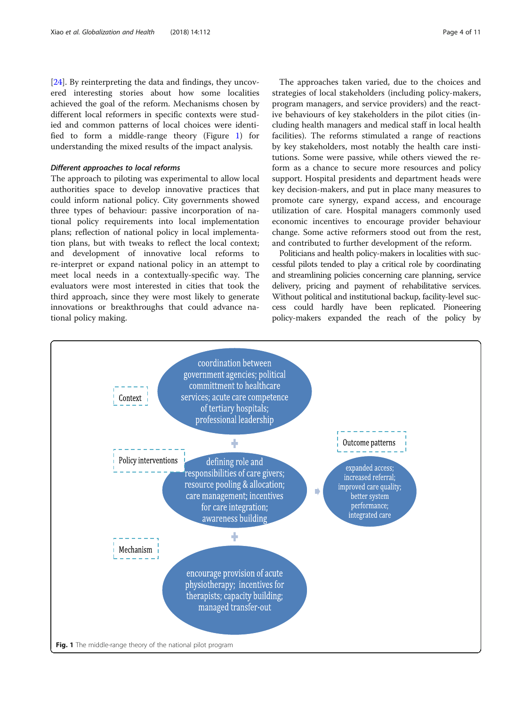[[24\]](#page-10-0). By reinterpreting the data and findings, they uncovered interesting stories about how some localities achieved the goal of the reform. Mechanisms chosen by different local reformers in specific contexts were studied and common patterns of local choices were identified to form a middle-range theory (Figure 1) for understanding the mixed results of the impact analysis.

# Different approaches to local reforms

The approach to piloting was experimental to allow local authorities space to develop innovative practices that could inform national policy. City governments showed three types of behaviour: passive incorporation of national policy requirements into local implementation plans; reflection of national policy in local implementation plans, but with tweaks to reflect the local context; and development of innovative local reforms to re-interpret or expand national policy in an attempt to meet local needs in a contextually-specific way. The evaluators were most interested in cities that took the third approach, since they were most likely to generate innovations or breakthroughs that could advance national policy making.

The approaches taken varied, due to the choices and strategies of local stakeholders (including policy-makers, program managers, and service providers) and the reactive behaviours of key stakeholders in the pilot cities (including health managers and medical staff in local health facilities). The reforms stimulated a range of reactions by key stakeholders, most notably the health care institutions. Some were passive, while others viewed the reform as a chance to secure more resources and policy support. Hospital presidents and department heads were key decision-makers, and put in place many measures to promote care synergy, expand access, and encourage utilization of care. Hospital managers commonly used economic incentives to encourage provider behaviour change. Some active reformers stood out from the rest, and contributed to further development of the reform.

Politicians and health policy-makers in localities with successful pilots tended to play a critical role by coordinating and streamlining policies concerning care planning, service delivery, pricing and payment of rehabilitative services. Without political and institutional backup, facility-level success could hardly have been replicated. Pioneering policy-makers expanded the reach of the policy by

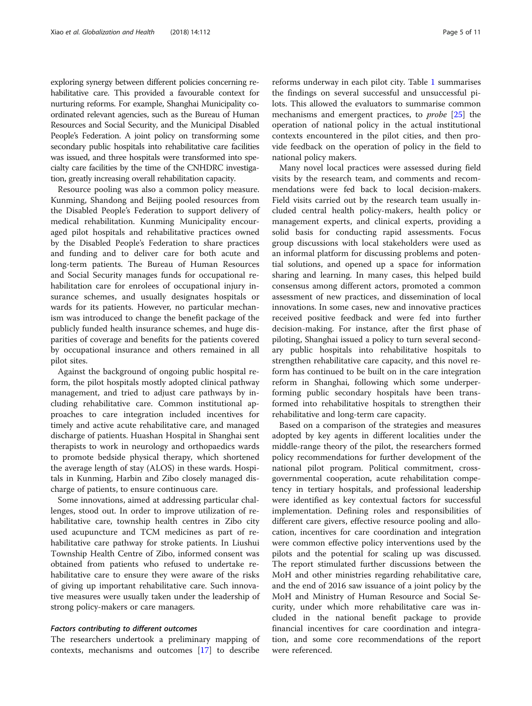exploring synergy between different policies concerning rehabilitative care. This provided a favourable context for nurturing reforms. For example, Shanghai Municipality coordinated relevant agencies, such as the Bureau of Human Resources and Social Security, and the Municipal Disabled People's Federation. A joint policy on transforming some secondary public hospitals into rehabilitative care facilities was issued, and three hospitals were transformed into specialty care facilities by the time of the CNHDRC investigation, greatly increasing overall rehabilitation capacity.

Resource pooling was also a common policy measure. Kunming, Shandong and Beijing pooled resources from the Disabled People's Federation to support delivery of medical rehabilitation. Kunming Municipality encouraged pilot hospitals and rehabilitative practices owned by the Disabled People's Federation to share practices and funding and to deliver care for both acute and long-term patients. The Bureau of Human Resources and Social Security manages funds for occupational rehabilitation care for enrolees of occupational injury insurance schemes, and usually designates hospitals or wards for its patients. However, no particular mechanism was introduced to change the benefit package of the publicly funded health insurance schemes, and huge disparities of coverage and benefits for the patients covered by occupational insurance and others remained in all pilot sites.

Against the background of ongoing public hospital reform, the pilot hospitals mostly adopted clinical pathway management, and tried to adjust care pathways by including rehabilitative care. Common institutional approaches to care integration included incentives for timely and active acute rehabilitative care, and managed discharge of patients. Huashan Hospital in Shanghai sent therapists to work in neurology and orthopaedics wards to promote bedside physical therapy, which shortened the average length of stay (ALOS) in these wards. Hospitals in Kunming, Harbin and Zibo closely managed discharge of patients, to ensure continuous care.

Some innovations, aimed at addressing particular challenges, stood out. In order to improve utilization of rehabilitative care, township health centres in Zibo city used acupuncture and TCM medicines as part of rehabilitative care pathway for stroke patients. In Liushui Township Health Centre of Zibo, informed consent was obtained from patients who refused to undertake rehabilitative care to ensure they were aware of the risks of giving up important rehabilitative care. Such innovative measures were usually taken under the leadership of strong policy-makers or care managers.

### Factors contributing to different outcomes

The researchers undertook a preliminary mapping of contexts, mechanisms and outcomes [\[17](#page-9-0)] to describe

reforms underway in each pilot city. Table [1](#page-5-0) summarises the findings on several successful and unsuccessful pilots. This allowed the evaluators to summarise common mechanisms and emergent practices, to *probe* [\[25](#page-10-0)] the operation of national policy in the actual institutional contexts encountered in the pilot cities, and then provide feedback on the operation of policy in the field to national policy makers.

Many novel local practices were assessed during field visits by the research team, and comments and recommendations were fed back to local decision-makers. Field visits carried out by the research team usually included central health policy-makers, health policy or management experts, and clinical experts, providing a solid basis for conducting rapid assessments. Focus group discussions with local stakeholders were used as an informal platform for discussing problems and potential solutions, and opened up a space for information sharing and learning. In many cases, this helped build consensus among different actors, promoted a common assessment of new practices, and dissemination of local innovations. In some cases, new and innovative practices received positive feedback and were fed into further decision-making. For instance, after the first phase of piloting, Shanghai issued a policy to turn several secondary public hospitals into rehabilitative hospitals to strengthen rehabilitative care capacity, and this novel reform has continued to be built on in the care integration reform in Shanghai, following which some underperforming public secondary hospitals have been transformed into rehabilitative hospitals to strengthen their rehabilitative and long-term care capacity.

Based on a comparison of the strategies and measures adopted by key agents in different localities under the middle-range theory of the pilot, the researchers formed policy recommendations for further development of the national pilot program. Political commitment, crossgovernmental cooperation, acute rehabilitation competency in tertiary hospitals, and professional leadership were identified as key contextual factors for successful implementation. Defining roles and responsibilities of different care givers, effective resource pooling and allocation, incentives for care coordination and integration were common effective policy interventions used by the pilots and the potential for scaling up was discussed. The report stimulated further discussions between the MoH and other ministries regarding rehabilitative care, and the end of 2016 saw issuance of a joint policy by the MoH and Ministry of Human Resource and Social Security, under which more rehabilitative care was included in the national benefit package to provide financial incentives for care coordination and integration, and some core recommendations of the report were referenced.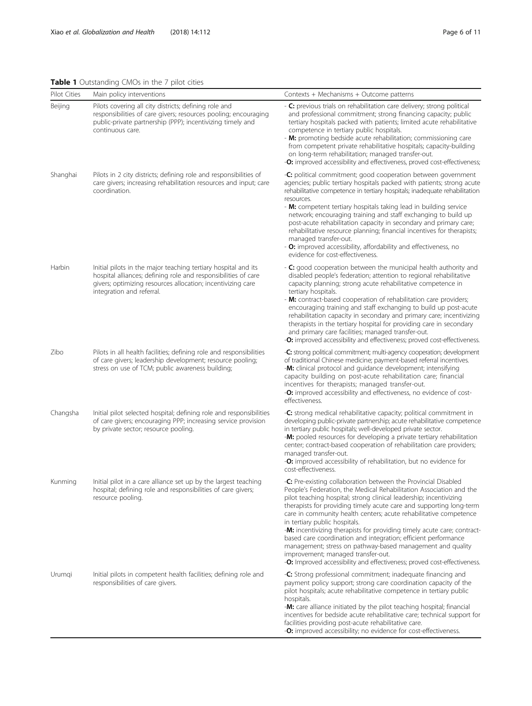# <span id="page-5-0"></span>Table 1 Outstanding CMOs in the 7 pilot cities

|              | ennes in the pilet electro                                                                                                                                                                                                   |                                                                                                                                                                                                                                                                                                                                                                                                                                                                                                                                                                                                                                                                                                                       |
|--------------|------------------------------------------------------------------------------------------------------------------------------------------------------------------------------------------------------------------------------|-----------------------------------------------------------------------------------------------------------------------------------------------------------------------------------------------------------------------------------------------------------------------------------------------------------------------------------------------------------------------------------------------------------------------------------------------------------------------------------------------------------------------------------------------------------------------------------------------------------------------------------------------------------------------------------------------------------------------|
| Pilot Cities | Main policy interventions                                                                                                                                                                                                    | Contexts + Mechanisms + Outcome patterns                                                                                                                                                                                                                                                                                                                                                                                                                                                                                                                                                                                                                                                                              |
| Beijing      | Pilots covering all city districts; defining role and<br>responsibilities of care givers; resources pooling; encouraging<br>public-private partnership (PPP); incentivizing timely and<br>continuous care.                   | - C: previous trials on rehabilitation care delivery; strong political<br>and professional commitment; strong financing capacity; public<br>tertiary hospitals packed with patients; limited acute rehabilitative<br>competence in tertiary public hospitals.<br>- M: promoting bedside acute rehabilitation; commissioning care<br>from competent private rehabilitative hospitals; capacity-building<br>on long-term rehabilitation; managed transfer-out.<br>-O: improved accessibility and effectiveness, proved cost-effectiveness;                                                                                                                                                                              |
| Shanghai     | Pilots in 2 city districts; defining role and responsibilities of<br>care givers; increasing rehabilitation resources and input; care<br>coordination.                                                                       | -C: political commitment; good cooperation between government<br>agencies; public tertiary hospitals packed with patients; strong acute<br>rehabilitative competence in tertiary hospitals; inadequate rehabilitation<br>resources.<br>- M: competent tertiary hospitals taking lead in building service<br>network; encouraging training and staff exchanging to build up<br>post-acute rehabilitation capacity in secondary and primary care;<br>rehabilitative resource planning; financial incentives for therapists;<br>managed transfer-out.<br>- O: improved accessibility, affordability and effectiveness, no<br>evidence for cost-effectiveness.                                                            |
| Harbin       | Initial pilots in the major teaching tertiary hospital and its<br>hospital alliances; defining role and responsibilities of care<br>givers; optimizing resources allocation; incentivizing care<br>integration and referral. | - C: good cooperation between the municipal health authority and<br>disabled people's federation; attention to regional rehabilitative<br>capacity planning; strong acute rehabilitative competence in<br>tertiary hospitals.<br>- M: contract-based cooperation of rehabilitation care providers;<br>encouraging training and staff exchanging to build up post-acute<br>rehabilitation capacity in secondary and primary care; incentivizing<br>therapists in the tertiary hospital for providing care in secondary<br>and primary care facilities; managed transfer-out.<br>-O: improved accessibility and effectiveness; proved cost-effectiveness.                                                               |
| Zibo         | Pilots in all health facilities; defining role and responsibilities<br>of care givers; leadership development; resource pooling;<br>stress on use of TCM; public awareness building;                                         | -C: strong political commitment; multi-agency cooperation; development<br>of traditional Chinese medicine; payment-based referral incentives.<br>-M: clinical protocol and guidance development; intensifying<br>capacity building on post-acute rehabilitation care; financial<br>incentives for therapists; managed transfer-out.<br>-O: improved accessibility and effectiveness, no evidence of cost-<br>effectiveness.                                                                                                                                                                                                                                                                                           |
| Changsha     | Initial pilot selected hospital; defining role and responsibilities<br>of care givers; encouraging PPP; increasing service provision<br>by private sector; resource pooling.                                                 | -C: strong medical rehabilitative capacity; political commitment in<br>developing public-private partnership; acute rehabilitative competence<br>in tertiary public hospitals; well-developed private sector.<br>-M: pooled resources for developing a private tertiary rehabilitation<br>center; contract-based cooperation of rehabilitation care providers;<br>managed transfer-out.<br>-O: improved accessibility of rehabilitation, but no evidence for<br>cost-effectiveness.                                                                                                                                                                                                                                   |
| Kunmina      | Initial pilot in a care alliance set up by the largest teaching<br>hospital; defining role and responsibilities of care givers;<br>resource pooling.                                                                         | -C: Pre-existing collaboration between the Provincial Disabled<br>People's Federation, the Medical Rehabilitation Association and the<br>pilot teaching hospital; strong clinical leadership; incentivizing<br>therapists for providing timely acute care and supporting long-term<br>care in community health centers; acute rehabilitative competence<br>in tertiary public hospitals.<br>-M: incentivizing therapists for providing timely acute care; contract-<br>based care coordination and integration; efficient performance<br>management; stress on pathway-based management and quality<br>improvement; managed transfer-out.<br>-O: Improved accessibility and effectiveness; proved cost-effectiveness. |
| Urumqi       | Initial pilots in competent health facilities; defining role and<br>responsibilities of care givers.                                                                                                                         | -C: Strong professional commitment; inadequate financing and<br>payment policy support; strong care coordination capacity of the<br>pilot hospitals; acute rehabilitative competence in tertiary public<br>hospitals.<br>-M: care alliance initiated by the pilot teaching hospital; financial<br>incentives for bedside acute rehabilitative care; technical support for<br>facilities providing post-acute rehabilitative care.<br>-O: improved accessibility; no evidence for cost-effectiveness.                                                                                                                                                                                                                  |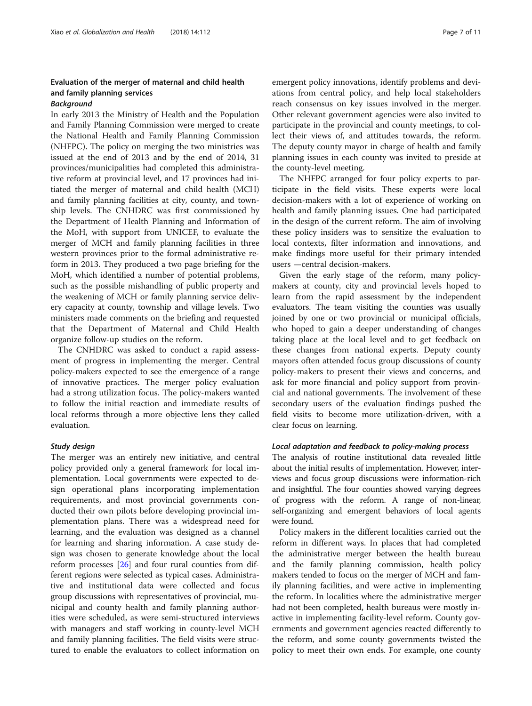# Evaluation of the merger of maternal and child health and family planning services

# Background

In early 2013 the Ministry of Health and the Population and Family Planning Commission were merged to create the National Health and Family Planning Commission (NHFPC). The policy on merging the two ministries was issued at the end of 2013 and by the end of 2014, 31 provinces/municipalities had completed this administrative reform at provincial level, and 17 provinces had initiated the merger of maternal and child health (MCH) and family planning facilities at city, county, and township levels. The CNHDRC was first commissioned by the Department of Health Planning and Information of the MoH, with support from UNICEF, to evaluate the merger of MCH and family planning facilities in three western provinces prior to the formal administrative reform in 2013. They produced a two page briefing for the MoH, which identified a number of potential problems, such as the possible mishandling of public property and the weakening of MCH or family planning service delivery capacity at county, township and village levels. Two ministers made comments on the briefing and requested that the Department of Maternal and Child Health organize follow-up studies on the reform.

The CNHDRC was asked to conduct a rapid assessment of progress in implementing the merger. Central policy-makers expected to see the emergence of a range of innovative practices. The merger policy evaluation had a strong utilization focus. The policy-makers wanted to follow the initial reaction and immediate results of local reforms through a more objective lens they called evaluation.

### Study design

The merger was an entirely new initiative, and central policy provided only a general framework for local implementation. Local governments were expected to design operational plans incorporating implementation requirements, and most provincial governments conducted their own pilots before developing provincial implementation plans. There was a widespread need for learning, and the evaluation was designed as a channel for learning and sharing information. A case study design was chosen to generate knowledge about the local reform processes [\[26\]](#page-10-0) and four rural counties from different regions were selected as typical cases. Administrative and institutional data were collected and focus group discussions with representatives of provincial, municipal and county health and family planning authorities were scheduled, as were semi-structured interviews with managers and staff working in county-level MCH and family planning facilities. The field visits were structured to enable the evaluators to collect information on emergent policy innovations, identify problems and deviations from central policy, and help local stakeholders reach consensus on key issues involved in the merger. Other relevant government agencies were also invited to participate in the provincial and county meetings, to collect their views of, and attitudes towards, the reform. The deputy county mayor in charge of health and family planning issues in each county was invited to preside at the county-level meeting.

The NHFPC arranged for four policy experts to participate in the field visits. These experts were local decision-makers with a lot of experience of working on health and family planning issues. One had participated in the design of the current reform. The aim of involving these policy insiders was to sensitize the evaluation to local contexts, filter information and innovations, and make findings more useful for their primary intended users —central decision-makers.

Given the early stage of the reform, many policymakers at county, city and provincial levels hoped to learn from the rapid assessment by the independent evaluators. The team visiting the counties was usually joined by one or two provincial or municipal officials, who hoped to gain a deeper understanding of changes taking place at the local level and to get feedback on these changes from national experts. Deputy county mayors often attended focus group discussions of county policy-makers to present their views and concerns, and ask for more financial and policy support from provincial and national governments. The involvement of these secondary users of the evaluation findings pushed the field visits to become more utilization-driven, with a clear focus on learning.

#### Local adaptation and feedback to policy-making process

The analysis of routine institutional data revealed little about the initial results of implementation. However, interviews and focus group discussions were information-rich and insightful. The four counties showed varying degrees of progress with the reform. A range of non-linear, self-organizing and emergent behaviors of local agents were found.

Policy makers in the different localities carried out the reform in different ways. In places that had completed the administrative merger between the health bureau and the family planning commission, health policy makers tended to focus on the merger of MCH and family planning facilities, and were active in implementing the reform. In localities where the administrative merger had not been completed, health bureaus were mostly inactive in implementing facility-level reform. County governments and government agencies reacted differently to the reform, and some county governments twisted the policy to meet their own ends. For example, one county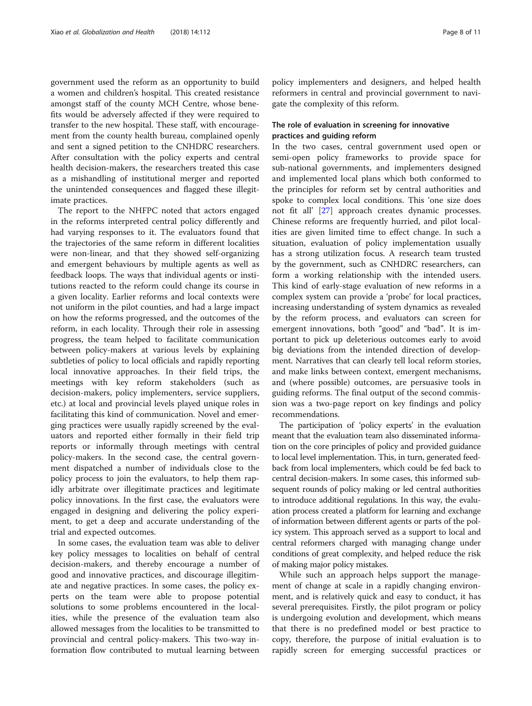government used the reform as an opportunity to build a women and children's hospital. This created resistance amongst staff of the county MCH Centre, whose benefits would be adversely affected if they were required to transfer to the new hospital. These staff, with encouragement from the county health bureau, complained openly and sent a signed petition to the CNHDRC researchers. After consultation with the policy experts and central health decision-makers, the researchers treated this case as a mishandling of institutional merger and reported the unintended consequences and flagged these illegitimate practices.

The report to the NHFPC noted that actors engaged in the reforms interpreted central policy differently and had varying responses to it. The evaluators found that the trajectories of the same reform in different localities were non-linear, and that they showed self-organizing and emergent behaviours by multiple agents as well as feedback loops. The ways that individual agents or institutions reacted to the reform could change its course in a given locality. Earlier reforms and local contexts were not uniform in the pilot counties, and had a large impact on how the reforms progressed, and the outcomes of the reform, in each locality. Through their role in assessing progress, the team helped to facilitate communication between policy-makers at various levels by explaining subtleties of policy to local officials and rapidly reporting local innovative approaches. In their field trips, the meetings with key reform stakeholders (such as decision-makers, policy implementers, service suppliers, etc.) at local and provincial levels played unique roles in facilitating this kind of communication. Novel and emerging practices were usually rapidly screened by the evaluators and reported either formally in their field trip reports or informally through meetings with central policy-makers. In the second case, the central government dispatched a number of individuals close to the policy process to join the evaluators, to help them rapidly arbitrate over illegitimate practices and legitimate policy innovations. In the first case, the evaluators were engaged in designing and delivering the policy experiment, to get a deep and accurate understanding of the trial and expected outcomes.

In some cases, the evaluation team was able to deliver key policy messages to localities on behalf of central decision-makers, and thereby encourage a number of good and innovative practices, and discourage illegitimate and negative practices. In some cases, the policy experts on the team were able to propose potential solutions to some problems encountered in the localities, while the presence of the evaluation team also allowed messages from the localities to be transmitted to provincial and central policy-makers. This two-way information flow contributed to mutual learning between policy implementers and designers, and helped health reformers in central and provincial government to navigate the complexity of this reform.

# The role of evaluation in screening for innovative practices and guiding reform

In the two cases, central government used open or semi-open policy frameworks to provide space for sub-national governments, and implementers designed and implemented local plans which both conformed to the principles for reform set by central authorities and spoke to complex local conditions. This 'one size does not fit all' [[27\]](#page-10-0) approach creates dynamic processes. Chinese reforms are frequently hurried, and pilot localities are given limited time to effect change. In such a situation, evaluation of policy implementation usually has a strong utilization focus. A research team trusted by the government, such as CNHDRC researchers, can form a working relationship with the intended users. This kind of early-stage evaluation of new reforms in a complex system can provide a 'probe' for local practices, increasing understanding of system dynamics as revealed by the reform process, and evaluators can screen for emergent innovations, both "good" and "bad". It is important to pick up deleterious outcomes early to avoid big deviations from the intended direction of development. Narratives that can clearly tell local reform stories, and make links between context, emergent mechanisms, and (where possible) outcomes, are persuasive tools in guiding reforms. The final output of the second commission was a two-page report on key findings and policy recommendations.

The participation of 'policy experts' in the evaluation meant that the evaluation team also disseminated information on the core principles of policy and provided guidance to local level implementation. This, in turn, generated feedback from local implementers, which could be fed back to central decision-makers. In some cases, this informed subsequent rounds of policy making or led central authorities to introduce additional regulations. In this way, the evaluation process created a platform for learning and exchange of information between different agents or parts of the policy system. This approach served as a support to local and central reformers charged with managing change under conditions of great complexity, and helped reduce the risk of making major policy mistakes.

While such an approach helps support the management of change at scale in a rapidly changing environment, and is relatively quick and easy to conduct, it has several prerequisites. Firstly, the pilot program or policy is undergoing evolution and development, which means that there is no predefined model or best practice to copy, therefore, the purpose of initial evaluation is to rapidly screen for emerging successful practices or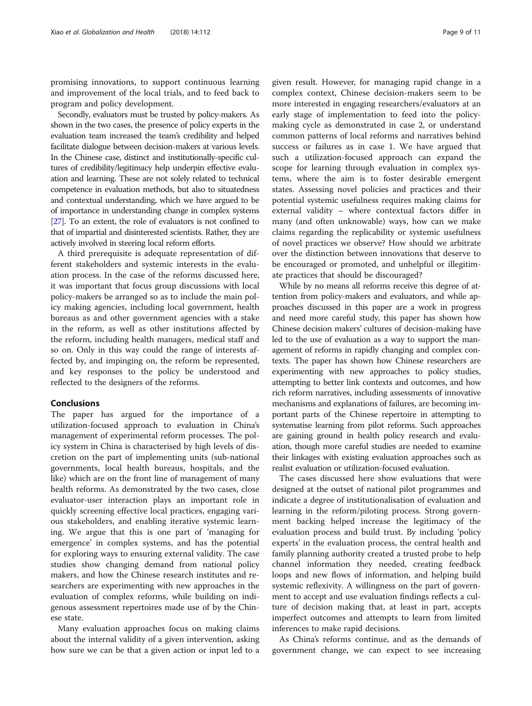promising innovations, to support continuous learning and improvement of the local trials, and to feed back to program and policy development.

Secondly, evaluators must be trusted by policy-makers. As shown in the two cases, the presence of policy experts in the evaluation team increased the team's credibility and helped facilitate dialogue between decision-makers at various levels. In the Chinese case, distinct and institutionally-specific cultures of credibility/legitimacy help underpin effective evaluation and learning. These are not solely related to technical competence in evaluation methods, but also to situatedness and contextual understanding, which we have argued to be of importance in understanding change in complex systems [[27\]](#page-10-0). To an extent, the role of evaluators is not confined to that of impartial and disinterested scientists. Rather, they are actively involved in steering local reform efforts.

A third prerequisite is adequate representation of different stakeholders and systemic interests in the evaluation process. In the case of the reforms discussed here, it was important that focus group discussions with local policy-makers be arranged so as to include the main policy making agencies, including local government, health bureaus as and other government agencies with a stake in the reform, as well as other institutions affected by the reform, including health managers, medical staff and so on. Only in this way could the range of interests affected by, and impinging on, the reform be represented, and key responses to the policy be understood and reflected to the designers of the reforms.

# Conclusions

The paper has argued for the importance of a utilization-focused approach to evaluation in China's management of experimental reform processes. The policy system in China is characterised by high levels of discretion on the part of implementing units (sub-national governments, local health bureaus, hospitals, and the like) which are on the front line of management of many health reforms. As demonstrated by the two cases, close evaluator-user interaction plays an important role in quickly screening effective local practices, engaging various stakeholders, and enabling iterative systemic learning. We argue that this is one part of 'managing for emergence' in complex systems, and has the potential for exploring ways to ensuring external validity. The case studies show changing demand from national policy makers, and how the Chinese research institutes and researchers are experimenting with new approaches in the evaluation of complex reforms, while building on indigenous assessment repertoires made use of by the Chinese state.

Many evaluation approaches focus on making claims about the internal validity of a given intervention, asking how sure we can be that a given action or input led to a given result. However, for managing rapid change in a complex context, Chinese decision-makers seem to be more interested in engaging researchers/evaluators at an early stage of implementation to feed into the policymaking cycle as demonstrated in case 2, or understand common patterns of local reforms and narratives behind success or failures as in case 1. We have argued that such a utilization-focused approach can expand the scope for learning through evaluation in complex systems, where the aim is to foster desirable emergent states. Assessing novel policies and practices and their potential systemic usefulness requires making claims for external validity – where contextual factors differ in many (and often unknowable) ways, how can we make claims regarding the replicability or systemic usefulness of novel practices we observe? How should we arbitrate over the distinction between innovations that deserve to be encouraged or promoted, and unhelpful or illegitimate practices that should be discouraged?

While by no means all reforms receive this degree of attention from policy-makers and evaluators, and while approaches discussed in this paper are a work in progress and need more careful study, this paper has shown how Chinese decision makers' cultures of decision-making have led to the use of evaluation as a way to support the management of reforms in rapidly changing and complex contexts. The paper has shown how Chinese researchers are experimenting with new approaches to policy studies, attempting to better link contexts and outcomes, and how rich reform narratives, including assessments of innovative mechanisms and explanations of failures, are becoming important parts of the Chinese repertoire in attempting to systematise learning from pilot reforms. Such approaches are gaining ground in health policy research and evaluation, though more careful studies are needed to examine their linkages with existing evaluation approaches such as realist evaluation or utilization-focused evaluation.

The cases discussed here show evaluations that were designed at the outset of national pilot programmes and indicate a degree of institutionalisation of evaluation and learning in the reform/piloting process. Strong government backing helped increase the legitimacy of the evaluation process and build trust. By including 'policy experts' in the evaluation process, the central health and family planning authority created a trusted probe to help channel information they needed, creating feedback loops and new flows of information, and helping build systemic reflexivity. A willingness on the part of government to accept and use evaluation findings reflects a culture of decision making that, at least in part, accepts imperfect outcomes and attempts to learn from limited inferences to make rapid decisions.

As China's reforms continue, and as the demands of government change, we can expect to see increasing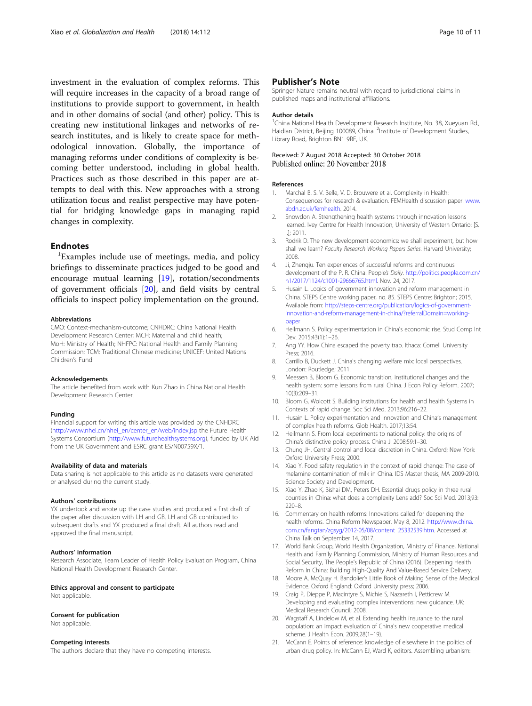<span id="page-9-0"></span>investment in the evaluation of complex reforms. This will require increases in the capacity of a broad range of institutions to provide support to government, in health and in other domains of social (and other) policy. This is creating new institutional linkages and networks of research institutes, and is likely to create space for methodological innovation. Globally, the importance of managing reforms under conditions of complexity is becoming better understood, including in global health. Practices such as those described in this paper are attempts to deal with this. New approaches with a strong utilization focus and realist perspective may have potential for bridging knowledge gaps in managing rapid changes in complexity.

#### **Endnotes**

<sup>1</sup>Examples include use of meetings, media, and policy briefings to disseminate practices judged to be good and encourage mutual learning [19], rotation/secondments of government officials [20], and field visits by central officials to inspect policy implementation on the ground.

#### Abbreviations

CMO: Context-mechanism-outcome; CNHDRC: China National Health Development Research Center; MCH: Maternal and child health; MoH: Ministry of Health; NHFPC: National Health and Family Planning Commission; TCM: Traditional Chinese medicine; UNICEF: United Nations Children's Fund

#### Acknowledgements

The article benefited from work with Kun Zhao in China National Health Development Research Center.

#### Funding

Financial support for writing this article was provided by the CNHDRC ([http://www.nhei.cn/nhei\\_en/center\\_en/web/index.jsp](http://www.nhei.cn/nhei_en/center_en/web/index.jsp) the Future Health Systems Consortium [\(http://www.futurehealthsystems.org](http://www.futurehealthsystems.org)), funded by UK Aid from the UK Government and ESRC grant ES/N00759X/1.

#### Availability of data and materials

Data sharing is not applicable to this article as no datasets were generated or analysed during the current study.

#### Authors' contributions

YX undertook and wrote up the case studies and produced a first draft of the paper after discussion with LH and GB. LH and GB contributed to subsequent drafts and YX produced a final draft. All authors read and approved the final manuscript.

#### Authors' information

Research Associate, Team Leader of Health Policy Evaluation Program, China National Health Development Research Center.

#### Ethics approval and consent to participate

Not applicable.

#### Consent for publication

Not applicable.

#### Competing interests

The authors declare that they have no competing interests.

### Publisher's Note

Springer Nature remains neutral with regard to jurisdictional claims in published maps and institutional affiliations.

#### Author details

<sup>1</sup>China National Health Development Research Institute, No. 38, Xueyuan Rd. Haidian District, Beijing 100089, China. <sup>2</sup>Institute of Development Studies, Library Road, Brighton BN1 9RE, UK.

### Received: 7 August 2018 Accepted: 30 October 2018 Published online: 20 November 2018

#### References

- 1. Marchal B. S. V. Belle, V. D. Brouwere et al. Complexity in Health: Consequences for research & evaluation. FEMHealth discussion paper. [www.](http://www.abdn.ac.uk/femhealth) [abdn.ac.uk/femhealth](http://www.abdn.ac.uk/femhealth). 2014.
- 2. Snowdon A. Strengthening health systems through innovation lessons learned. Ivey Centre for Health Innovation, University of Western Ontario: [S. l.]; 2011.
- 3. Rodrik D. The new development economics: we shall experiment, but how shall we learn? Faculty Research Working Papers Series. Harvard University; 2008.
- 4. Ji, Zhengju. Ten experiences of successful reforms and continuous development of the P. R. China. People's Daily. [http://politics.people.com.cn/](http://politics.people.com.cn/n1/2017/1124/c1001-29666765.html) [n1/2017/1124/c1001-29666765.html](http://politics.people.com.cn/n1/2017/1124/c1001-29666765.html). Nov. 24, 2017.
- 5. Husain L. Logics of government innovation and reform management in China. STEPS Centre working paper, no. 85. STEPS Centre: Brighton; 2015. Available from: [http://steps-centre.org/publication/logics-of-government](http://steps-centre.org/publication/logics-of-government-innovation-and-reform-management-in-china/?referralDomain=working-paper)[innovation-and-reform-management-in-china/?referralDomain=working](http://steps-centre.org/publication/logics-of-government-innovation-and-reform-management-in-china/?referralDomain=working-paper)[paper](http://steps-centre.org/publication/logics-of-government-innovation-and-reform-management-in-china/?referralDomain=working-paper)
- 6. Heilmann S. Policy experimentation in China's economic rise. Stud Comp Int Dev. 2015;43(1):1–26.
- 7. Ang YY. How China escaped the poverty trap. Ithaca: Cornell University Press; 2016.
- 8. Carrillo B, Duckett J. China's changing welfare mix: local perspectives. London: Routledge; 2011.
- 9. Meessen B, Bloom G. Economic transition, institutional changes and the health system: some lessons from rural China. J Econ Policy Reform. 2007; 10(3):209–31.
- 10. Bloom G, Wolcott S. Building institutions for health and health Systems in Contexts of rapid change. Soc Sci Med. 2013;96:216–22.
- 11. Husain L. Policy experimentation and innovation and China's management of complex health reforms. Glob Health. 2017;13:54.
- 12. Heilmann S. From local experiments to national policy: the origins of China's distinctive policy process. China J. 2008;59:1–30.
- 13. Chung JH. Central control and local discretion in China. Oxford; New York: Oxford University Press; 2000.
- 14. Xiao Y. Food safety regulation in the context of rapid change: The case of melamine contamination of milk in China. IDS Master thesis, MA 2009-2010. Science Society and Development.
- 15. Xiao Y, Zhao K, Bishai DM, Peters DH. Essential drugs policy in three rural counties in China: what does a complexity Lens add? Soc Sci Med. 2013;93: 220–8.
- 16. Commentary on health reforms: Innovations called for deepening the health reforms. China Reform Newspaper. May 8, 2012. [http://www.china.](http://www.china.com.cn/fangtan/zgsyg/2012-05/08/content_25332539.htm) [com.cn/fangtan/zgsyg/2012-05/08/content\\_25332539.htm](http://www.china.com.cn/fangtan/zgsyg/2012-05/08/content_25332539.htm). Accessed at China Talk on September 14, 2017.
- 17. World Bank Group, World Health Organization, Ministry of Finance, National Health and Family Planning Commission, Ministry of Human Resources and Social Security, The People's Republic of China (2016). Deepening Health Reform In China: Building High-Quality And Value-Based Service Delivery.
- 18. Moore A, McQuay H. Bandolier's Little Book of Making Sense of the Medical Evidence. Oxford England: Oxford University press; 2006.
- 19. Craig P, Dieppe P, Macintyre S, Michie S, Nazareth I, Petticrew M. Developing and evaluating complex interventions: new guidance. UK: Medical Research Council; 2008.
- 20. Wagstaff A, Lindelow M, et al. Extending health insurance to the rural population: an impact evaluation of China's new cooperative medical scheme. J Health Econ. 2009;28(1–19).
- 21. McCann E. Points of reference: knowledge of elsewhere in the politics of urban drug policy. In: McCann EJ, Ward K, editors. Assembling urbanism: